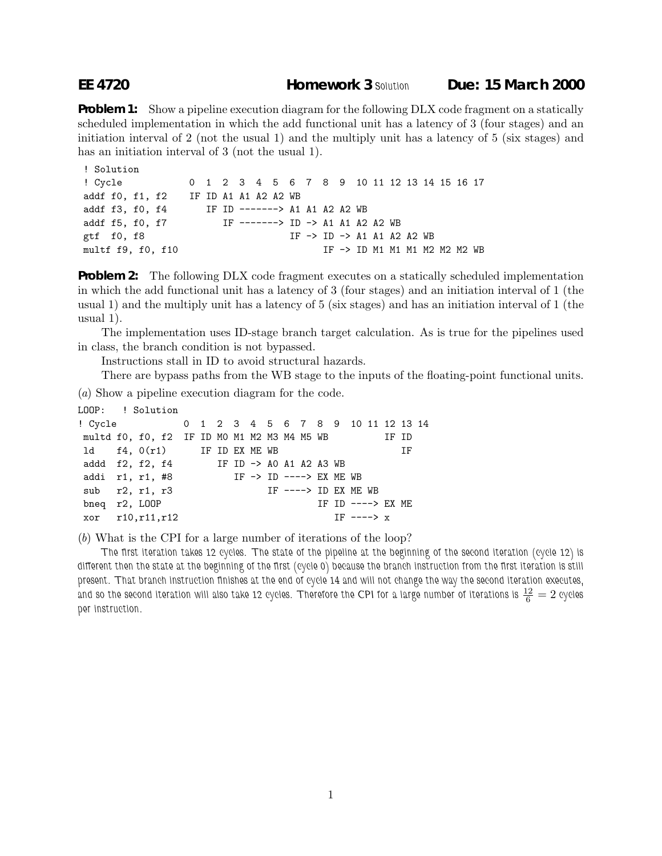**Problem 1:** Show a pipeline execution diagram for the following DLX code fragment on a statically scheduled implementation in which the add functional unit has a latency of 3 (four stages) and an initiation interval of 2 (not the usual 1) and the multiply unit has a latency of 5 (six stages) and has an initiation interval of 3 (not the usual 1).

```
! Solution
! Cycle 0 1 2 3 4 5 6 7 8 9 10 11 12 13 14 15 16 17
addf f0, f1, f2 IF ID A1 A1 A2 A2 WB
addf f3, f0, f4 IF ID -------> A1 A1 A2 A2 WB
addf f5, f0, f7 IF ------> ID -> A1 A1 A2 A2 WB
gtf f0, f8 IF -> ID -> A1 A1 A2 A2 WB
multf f9, f0, f10 IF -> ID M1 M1 M2 M2 M2 WB
```
**Problem 2:** The following DLX code fragment executes on a statically scheduled implementation in which the add functional unit has a latency of 3 (four stages) and an initiation interval of 1 (the usual 1) and the multiply unit has a latency of 5 (six stages) and has an initiation interval of 1 (the usual 1).

The implementation uses ID-stage branch target calculation. As is true for the pipelines used in class, the branch condition is not bypassed.

Instructions stall in ID to avoid structural hazards.

There are bypass paths from the WB stage to the inputs of the floating-point functional units.

(*a*) Show a pipeline execution diagram for the code.

```
LOOP: ! Solution
! Cycle 0 1 2 3 4 5 6 7 8 9 10 11 12 13 14
multd f0, f0, f2 IF ID M0 M1 M2 M3 M4 M5 WB IF ID
ld f4, 0(r1) IF ID EX ME WB IF
addd f2, f2, f4 IF ID -> A0 A1 A2 A3 WB
addi r1, r1, #8 IF -> ID ----> EX ME WB
sub r2, r1, r3 IF ----> ID EX ME WB
bneq r2, LOOP IF ID ----> EX ME
xor r10,r11,r12 IF ----> x
```
(*b*) What is the CPI for a large number of iterations of the loop?

*The first iteration takes 12 cycles. The state of the pipeline at the beginning of the second iteration (cycle 12) is different then the state at the beginning of the first (cycle 0) because the branch instruction from the first iteration is still present. That branch instruction finishes at the end of cycle 14 and will not change the way the second iteration executes,* and so the second iteration will also take 12 cycles. Therefore the CPI for a large number of iterations is  $\frac{12}{6}=2$  cycles *per instruction.*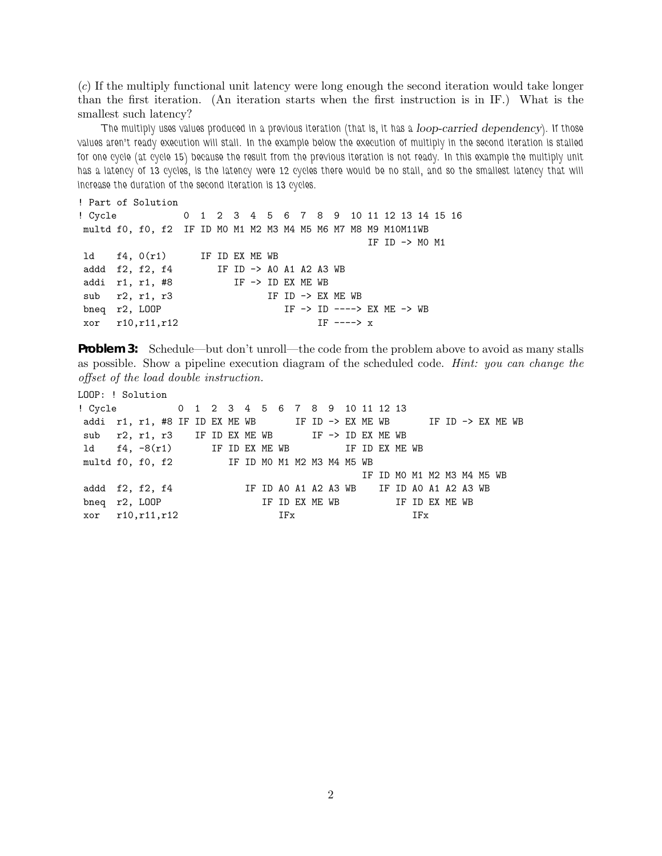(*c*) If the multiply functional unit latency were long enough the second iteration would take longer than the first iteration. (An iteration starts when the first instruction is in IF.) What is the smallest such latency?

*The multiply uses values produced in a previous iteration (that is, it has a loop-carried dependency). If those values aren't ready execution will stall. In the example below the execution of multiply in the second iteration is stalled for one cycle (at cycle 15) because the result from the previous iteration is not ready. In this example the multiply unit* has a latency of 13 cycles, is the latency were 12 cycles there would be no stall, and so the smallest latency that will *increase the duration of the second iteration is 13 cycles.*

```
! Part of Solution
! Cycle 0 1 2 3 4 5 6 7 8 9 10 11 12 13 14 15 16
multd f0, f0, f2 IF ID M0 M1 M2 M3 M4 M5 M6 M7 M8 M9 M10M11WB
                                     IF ID -> M0 M1
ld f4, 0(r1) IF ID EX ME WB
addd f2, f2, f4 IF ID -> A0 A1 A2 A3 WB
addi r1, r1, #8 IF \rightarrow ID EX ME WBsub r2, r1, r3 IF ID -> EX ME WB
bneq r2, LOOP IF -> ID ----> EX ME -> WB
xor r10,r11,r12 IF ----> x
```
**Problem 3:** Schedule—but don't unroll—the code from the problem above to avoid as many stalls as possible. Show a pipeline execution diagram of the scheduled code. *Hint: you can change the offset of the load double instruction.*

LOOP: ! Solution

! Cycle 0 1 2 3 4 5 6 7 8 9 10 11 12 13 addi r1, r1, #8 IF ID EX ME WB IF ID  $\rightarrow$  EX ME WB IF ID  $\rightarrow$  EX ME WB sub r2, r1, r3 IF ID EX ME WB IF -> ID EX ME WB 1d f4, -8(r1) IF ID EX ME WB IF ID EX ME WB multd f0, f0, f2 IF ID M0 M1 M2 M3 M4 M5 WB IF ID M0 M1 M2 M3 M4 M5 WB addd f2, f2, f4 IF ID A0 A1 A2 A3 WB IF ID A0 A1 A2 A3 WB  $\frac{1}{2}$  IF ID A0 A1 A2 A3 WB IS bneq r2, LOOP IF ID EX ME WB IF ID EX ME WB xor r10, r11, r12 IFx IFx IFx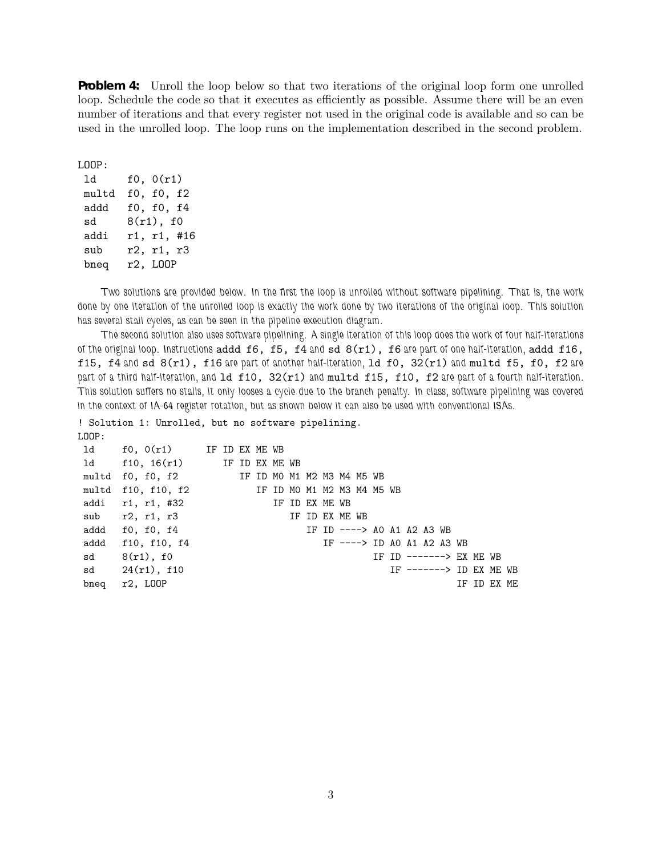**Problem 4:** Unroll the loop below so that two iterations of the original loop form one unrolled loop. Schedule the code so that it executes as efficiently as possible. Assume there will be an even number of iterations and that every register not used in the original code is available and so can be used in the unrolled loop. The loop runs on the implementation described in the second problem.

LOOP: ld f0, 0(r1) multd f0, f0, f2 addd f0, f0, f4 sd 8(r1), f0 addi r1, r1, #16 sub r2, r1, r3 bneq r2, LOOP

*Two solutions are provided below. In the first the loop is unrolled without software pipelining. That is, the work done by one iteration of the unrolled loop is exactly the work done by two iterations of the original loop. This solution has several stall cycles, as can be seen in the pipeline execution diagram.*

*The second solution also uses software pipelining. A single iteration of this loop does the work of four half-iterations of the original loop. Instructions* addd f6, f5, f4 *and* sd 8(r1), f6 *are part of one half-iteration,* addd f16, f15, f4 *and* sd 8(r1), f16 *are part of another half-iteration,* ld f0, 32(r1) *and* multd f5, f0, f2 *are part of a third half-iteration, and* ld f10, 32(r1) *and* multd f15, f10, f2 *are part of a fourth half-iteration. This solution suffers no stalls, it only looses a cycle due to the branch penalty. In class, software pipelining was covered in the context of IA-64 register rotation, but as shown below it can also be used with conventional ISAs.*

! Solution 1: Unrolled, but no software pipelining. LOOP:

ld f0, 0(r1) IF ID EX ME WB ld f10, 16(r1) IF ID EX ME WB multd f0, f0, f2 IF ID M0 M1 M2 M3 M4 M5 WB multd f10, f10, f2 IF ID M0 M1 M2 M3 M4 M5 WB addi r1, r1, #32 IF ID EX ME WB sub r2, r1, r3 IF ID EX ME WB addd f0, f0, f4 IF ID ----> A0 A1 A2 A3 WB addd f10, f10, f4 IF ---> ID A0 A1 A2 A3 WB sd 8(r1), f0 IF ID ------> EX ME WB sd 24(r1), f10 **IF** ------> ID EX ME WB bneq r2, LOOP IF ID EX ME

3